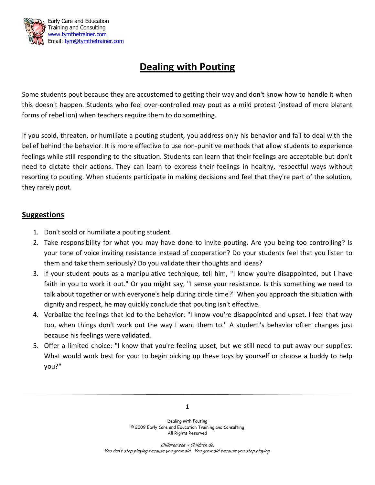

## **Dealing with Pouting**

Some students pout because they are accustomed to getting their way and don't know how to handle it when this doesn't happen. Students who feel over-controlled may pout as a mild protest (instead of more blatant forms of rebellion) when teachers require them to do something.

If you scold, threaten, or humiliate a pouting student, you address only his behavior and fail to deal with the belief behind the behavior. It is more effective to use non-punitive methods that allow students to experience feelings while still responding to the situation. Students can learn that their feelings are acceptable but don't need to dictate their actions. They can learn to express their feelings in healthy, respectful ways without resorting to pouting. When students participate in making decisions and feel that they're part of the solution, they rarely pout.

## **Suggestions**

- 1. Don't scold or humiliate a pouting student.
- 2. Take responsibility for what you may have done to invite pouting. Are you being too controlling? Is your tone of voice inviting resistance instead of cooperation? Do your students feel that you listen to them and take them seriously? Do you validate their thoughts and ideas?
- 3. If your student pouts as a manipulative technique, tell him, "I know you're disappointed, but I have faith in you to work it out." Or you might say, "I sense your resistance. Is this something we need to talk about together or with everyone's help during circle time?" When you approach the situation with dignity and respect, he may quickly conclude that pouting isn't effective.
- 4. Verbalize the feelings that led to the behavior: "I know you're disappointed and upset. I feel that way too, when things don't work out the way I want them to." A student's behavior often changes just because his feelings were validated.
- 5. Offer a limited choice: "I know that you're feeling upset, but we still need to put away our supplies. What would work best for you: to begin picking up these toys by yourself or choose a buddy to help you?"

Dealing with Pouting © 2009 Early Care and Education Training and Consulting All Rights Reserved

Children see ~ Children do. You don't stop playing because you grow old, You grow old because you stop playing.